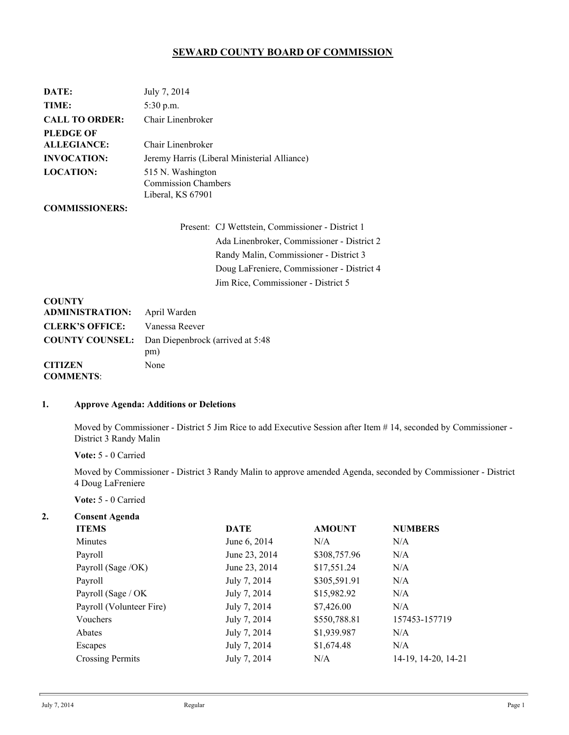# **SEWARD COUNTY BOARD OF COMMISSION**

| DATE:                              | July 7, 2014                                                                                                                                                                                                                  |  |  |  |
|------------------------------------|-------------------------------------------------------------------------------------------------------------------------------------------------------------------------------------------------------------------------------|--|--|--|
| TIME:                              | 5:30 p.m.                                                                                                                                                                                                                     |  |  |  |
| <b>CALL TO ORDER:</b>              | Chair Linenbroker                                                                                                                                                                                                             |  |  |  |
| PLEDGE OF                          |                                                                                                                                                                                                                               |  |  |  |
| ALLEGIANCE:                        | Chair Linenbroker                                                                                                                                                                                                             |  |  |  |
| <b>INVOCATION:</b>                 | Jeremy Harris (Liberal Ministerial Alliance)                                                                                                                                                                                  |  |  |  |
| <b>LOCATION:</b>                   | 515 N. Washington<br><b>Commission Chambers</b><br>Liberal, KS 67901                                                                                                                                                          |  |  |  |
| <b>COMMISSIONERS:</b>              |                                                                                                                                                                                                                               |  |  |  |
|                                    | Present: CJ Wettstein, Commissioner - District 1<br>Ada Linenbroker, Commissioner - District 2<br>Randy Malin, Commissioner - District 3<br>Doug LaFreniere, Commissioner - District 4<br>Jim Rice, Commissioner - District 5 |  |  |  |
| <b>COUNTY</b>                      |                                                                                                                                                                                                                               |  |  |  |
| <b>ADMINISTRATION:</b>             | April Warden                                                                                                                                                                                                                  |  |  |  |
| <b>CLERK'S OFFICE:</b>             | Vanessa Reever                                                                                                                                                                                                                |  |  |  |
| <b>COUNTY COUNSEL:</b>             | Dan Diepenbrock (arrived at 5:48)<br>pm)                                                                                                                                                                                      |  |  |  |
| <b>CITIZEN</b><br><b>COMMENTS:</b> | None                                                                                                                                                                                                                          |  |  |  |

#### **1. Approve Agenda: Additions or Deletions**

Moved by Commissioner - District 5 Jim Rice to add Executive Session after Item # 14, seconded by Commissioner - District 3 Randy Malin

**Vote:** 5 - 0 Carried

Moved by Commissioner - District 3 Randy Malin to approve amended Agenda, seconded by Commissioner - District 4 Doug LaFreniere

**Vote:** 5 - 0 Carried

| <b>ITEMS</b><br><b>DATE</b><br><b>NUMBERS</b><br><b>AMOUNT</b><br>June 6, 2014<br>N/A<br><b>Minutes</b><br>N/A<br>\$308,757.96<br>June 23, 2014<br>Payroll<br>N/A<br>\$17,551.24<br>Payroll (Sage /OK)<br>June 23, 2014<br>N/A<br>\$305,591.91<br>July 7, 2014<br>Payroll<br>N/A<br>\$15,982.92<br>Payroll (Sage / OK<br>July 7, 2014<br>N/A<br>Payroll (Volunteer Fire)<br>July 7, 2014<br>\$7,426.00<br>N/A<br>\$550,788.81<br>Vouchers<br>July 7, 2014<br>\$1,939.987<br>July 7, 2014<br>N/A<br>Abates<br>\$1,674.48<br>July 7, 2014<br>N/A<br>Escapes<br>July 7, 2014<br><b>Crossing Permits</b><br>N/A | 2. | <b>Consent Agenda</b> |  |  |                     |  |  |  |
|-------------------------------------------------------------------------------------------------------------------------------------------------------------------------------------------------------------------------------------------------------------------------------------------------------------------------------------------------------------------------------------------------------------------------------------------------------------------------------------------------------------------------------------------------------------------------------------------------------------|----|-----------------------|--|--|---------------------|--|--|--|
|                                                                                                                                                                                                                                                                                                                                                                                                                                                                                                                                                                                                             |    |                       |  |  |                     |  |  |  |
|                                                                                                                                                                                                                                                                                                                                                                                                                                                                                                                                                                                                             |    |                       |  |  |                     |  |  |  |
|                                                                                                                                                                                                                                                                                                                                                                                                                                                                                                                                                                                                             |    |                       |  |  |                     |  |  |  |
|                                                                                                                                                                                                                                                                                                                                                                                                                                                                                                                                                                                                             |    |                       |  |  |                     |  |  |  |
|                                                                                                                                                                                                                                                                                                                                                                                                                                                                                                                                                                                                             |    |                       |  |  |                     |  |  |  |
|                                                                                                                                                                                                                                                                                                                                                                                                                                                                                                                                                                                                             |    |                       |  |  |                     |  |  |  |
|                                                                                                                                                                                                                                                                                                                                                                                                                                                                                                                                                                                                             |    |                       |  |  |                     |  |  |  |
|                                                                                                                                                                                                                                                                                                                                                                                                                                                                                                                                                                                                             |    |                       |  |  | 157453-157719       |  |  |  |
|                                                                                                                                                                                                                                                                                                                                                                                                                                                                                                                                                                                                             |    |                       |  |  |                     |  |  |  |
|                                                                                                                                                                                                                                                                                                                                                                                                                                                                                                                                                                                                             |    |                       |  |  |                     |  |  |  |
|                                                                                                                                                                                                                                                                                                                                                                                                                                                                                                                                                                                                             |    |                       |  |  | 14-19, 14-20, 14-21 |  |  |  |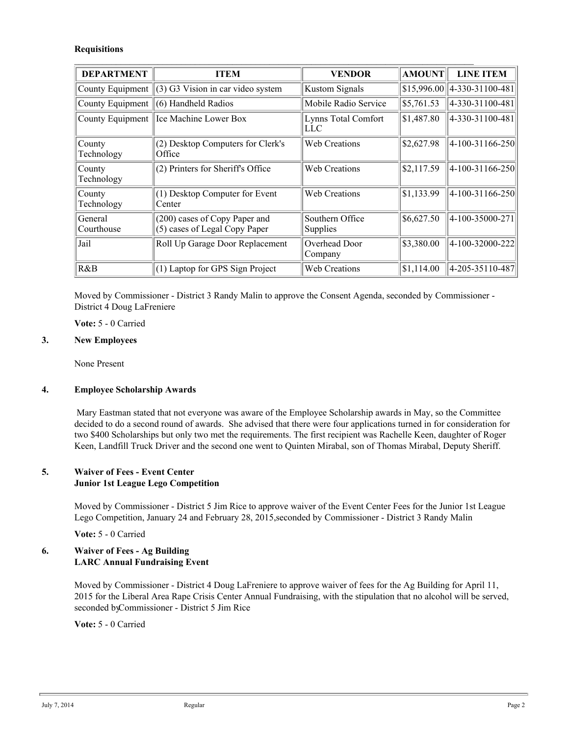### **Requisitions**

| <b>DEPARTMENT</b>     | <b>ITEM</b>                                                    | <b>VENDOR</b>                      | <b>AMOUNT</b>         | <b>LINE ITEM</b>                        |  |  |  |
|-----------------------|----------------------------------------------------------------|------------------------------------|-----------------------|-----------------------------------------|--|--|--|
| County Equipment      | (3) G3 Vision in car video system                              | Kustom Signals                     |                       | $\frac{1}{15,996.00}$   4-330-31100-481 |  |  |  |
| County Equipment      | (6) Handheld Radios                                            | Mobile Radio Service               | $\frac{5,761.53}{ }$  | 4-330-31100-481                         |  |  |  |
| County Equipment      | Ice Machine Lower Box                                          | Lynns Total Comfort<br>LLC         | \$1,487.80            | 4-330-31100-481                         |  |  |  |
| County<br>Technology  | (2) Desktop Computers for Clerk's<br>Office                    | <b>Web Creations</b>               | \$2,627.98            | $ 4-100-31166-250 $                     |  |  |  |
| County<br>Technology  | (2) Printers for Sheriff's Office                              | <b>Web Creations</b>               | $\vert$ \$2,117.59    | $ 4-100-31166-250 $                     |  |  |  |
| County<br>Technology  | (1) Desktop Computer for Event<br>Center                       | <b>Web Creations</b>               | $\vert$ \$1,133.99    | $ 4-100-31166-250 $                     |  |  |  |
| General<br>Courthouse | (200) cases of Copy Paper and<br>(5) cases of Legal Copy Paper | Southern Office<br><b>Supplies</b> | $\frac{$6,627.50}{ }$ | $ 4-100-35000-271 $                     |  |  |  |
| Jail                  | Roll Up Garage Door Replacement                                | Overhead Door<br>Company           | \$3,380.00            | 4-100-32000-222                         |  |  |  |
| R&B                   | (1) Laptop for GPS Sign Project                                | <b>Web Creations</b>               | \$1,114.00            | 4-205-35110-487                         |  |  |  |

Moved by Commissioner - District 3 Randy Malin to approve the Consent Agenda, seconded by Commissioner - District 4 Doug LaFreniere

**Vote:** 5 - 0 Carried

### **3. New Employees**

None Present

## **4. Employee Scholarship Awards**

 Mary Eastman stated that not everyone was aware of the Employee Scholarship awards in May, so the Committee decided to do a second round of awards. She advised that there were four applications turned in for consideration for two \$400 Scholarships but only two met the requirements. The first recipient was Rachelle Keen, daughter of Roger Keen, Landfill Truck Driver and the second one went to Quinten Mirabal, son of Thomas Mirabal, Deputy Sheriff.

### **5. Waiver of Fees - Event Center Junior 1st League Lego Competition**

Moved by Commissioner - District 5 Jim Rice to approve waiver of the Event Center Fees for the Junior 1st League Lego Competition, January 24 and February 28, 2015, seconded by Commissioner - District 3 Randy Malin

**Vote:** 5 - 0 Carried

## **6. Waiver of Fees - Ag Building LARC Annual Fundraising Event**

Moved by Commissioner - District 4 Doug LaFreniere to approve waiver of fees for the Ag Building for April 11, 2015 for the Liberal Area Rape Crisis Center Annual Fundraising, with the stipulation that no alcohol will be served, seconded by Commissioner - District 5 Jim Rice

**Vote:** 5 - 0 Carried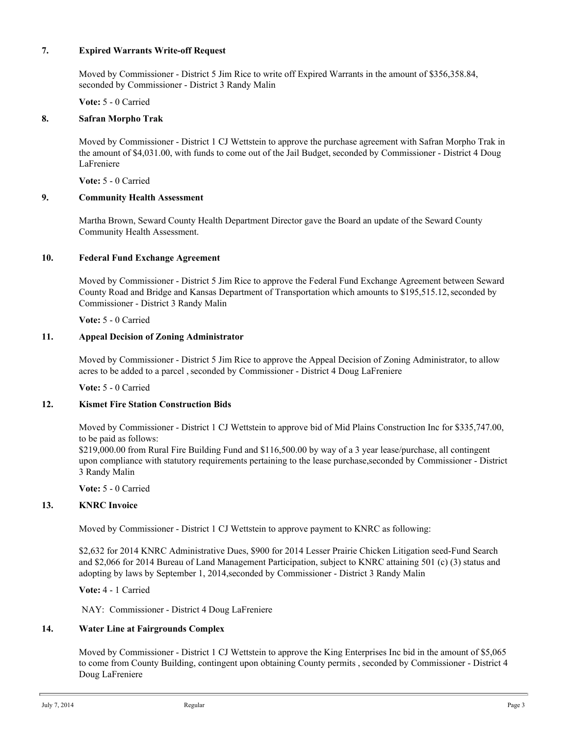### **7. Expired Warrants Write-off Request**

Moved by Commissioner - District 5 Jim Rice to write off Expired Warrants in the amount of \$356,358.84, seconded by Commissioner - District 3 Randy Malin

**Vote:** 5 - 0 Carried

## **8. Safran Morpho Trak**

Moved by Commissioner - District 1 CJ Wettstein to approve the purchase agreement with Safran Morpho Trak in the amount of \$4,031.00, with funds to come out of the Jail Budget, seconded by Commissioner - District 4 Doug LaFreniere

**Vote:** 5 - 0 Carried

## **9. Community Health Assessment**

Martha Brown, Seward County Health Department Director gave the Board an update of the Seward County Community Health Assessment.

### **10. Federal Fund Exchange Agreement**

Moved by Commissioner - District 5 Jim Rice to approve the Federal Fund Exchange Agreement between Seward County Road and Bridge and Kansas Department of Transportation which amounts to \$195,515.12, seconded by Commissioner - District 3 Randy Malin

**Vote:** 5 - 0 Carried

## **11. Appeal Decision of Zoning Administrator**

Moved by Commissioner - District 5 Jim Rice to approve the Appeal Decision of Zoning Administrator, to allow acres to be added to a parcel , seconded by Commissioner - District 4 Doug LaFreniere

**Vote:** 5 - 0 Carried

## **12. Kismet Fire Station Construction Bids**

Moved by Commissioner - District 1 CJ Wettstein to approve bid of Mid Plains Construction Inc for \$335,747.00, to be paid as follows:

\$219,000.00 from Rural Fire Building Fund and \$116,500.00 by way of a 3 year lease/purchase, all contingent upon compliance with statutory requirements pertaining to the lease purchase, seconded by Commissioner - District 3 Randy Malin

**Vote:** 5 - 0 Carried

# **13. KNRC Invoice**

Moved by Commissioner - District 1 CJ Wettstein to approve payment to KNRC as following:

\$2,632 for 2014 KNRC Administrative Dues, \$900 for 2014 Lesser Prairie Chicken Litigation seed-Fund Search and \$2,066 for 2014 Bureau of Land Management Participation, subject to KNRC attaining 501 (c) (3) status and adopting by laws by September 1, 2014, seconded by Commissioner - District 3 Randy Malin

**Vote:** 4 - 1 Carried

NAY: Commissioner - District 4 Doug LaFreniere

#### **14. Water Line at Fairgrounds Complex**

Moved by Commissioner - District 1 CJ Wettstein to approve the King Enterprises Inc bid in the amount of \$5,065 to come from County Building, contingent upon obtaining County permits , seconded by Commissioner - District 4 Doug LaFreniere